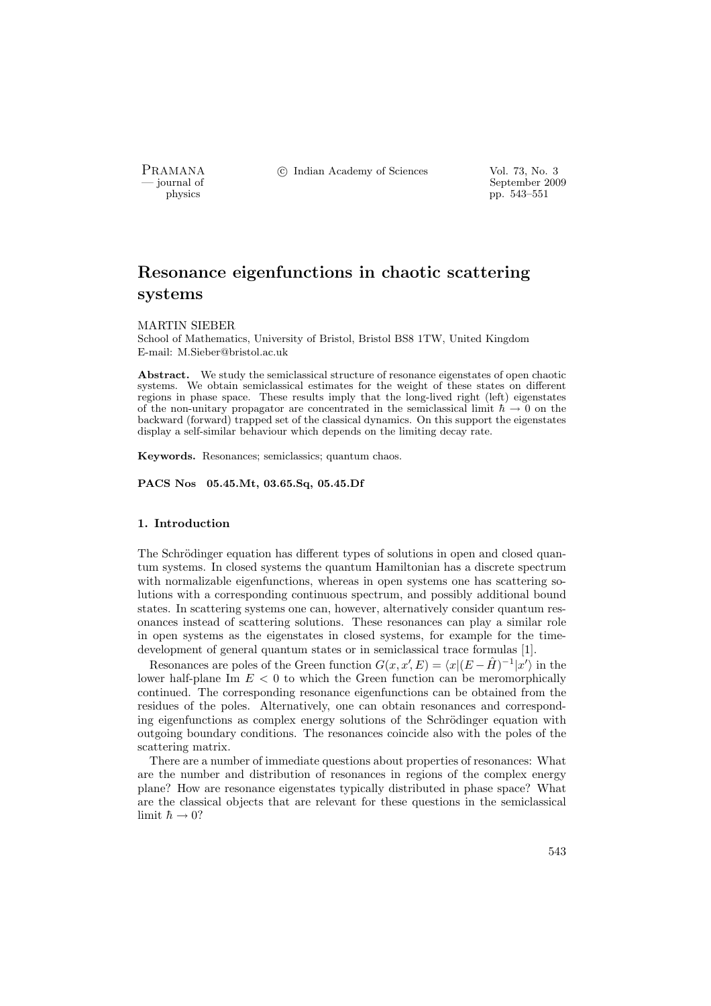

PRAMANA °c Indian Academy of Sciences Vol. 73, No. 3

physics and the separation of September 2009 physics and the separation of September 2009 physics pp. 543–551

# Resonance eigenfunctions in chaotic scattering systems

### MARTIN SIEBER

School of Mathematics, University of Bristol, Bristol BS8 1TW, United Kingdom E-mail: M.Sieber@bristol.ac.uk

Abstract. We study the semiclassical structure of resonance eigenstates of open chaotic systems. We obtain semiclassical estimates for the weight of these states on different regions in phase space. These results imply that the long-lived right (left) eigenstates of the non-unitary propagator are concentrated in the semiclassical limit  $\hbar \to 0$  on the backward (forward) trapped set of the classical dynamics. On this support the eigenstates display a self-similar behaviour which depends on the limiting decay rate.

Keywords. Resonances; semiclassics; quantum chaos.

PACS Nos 05.45.Mt, 03.65.Sq, 05.45.Df

## 1. Introduction

The Schrödinger equation has different types of solutions in open and closed quantum systems. In closed systems the quantum Hamiltonian has a discrete spectrum with normalizable eigenfunctions, whereas in open systems one has scattering solutions with a corresponding continuous spectrum, and possibly additional bound states. In scattering systems one can, however, alternatively consider quantum resonances instead of scattering solutions. These resonances can play a similar role in open systems as the eigenstates in closed systems, for example for the timedevelopment of general quantum states or in semiclassical trace formulas [1].

Resonances are poles of the Green function  $G(x, x', E) = \langle x | (E - \hat{H})^{-1} | x' \rangle$  in the lower half-plane Im  $E < 0$  to which the Green function can be meromorphically continued. The corresponding resonance eigenfunctions can be obtained from the residues of the poles. Alternatively, one can obtain resonances and corresponding eigenfunctions as complex energy solutions of the Schrödinger equation with outgoing boundary conditions. The resonances coincide also with the poles of the scattering matrix.

There are a number of immediate questions about properties of resonances: What are the number and distribution of resonances in regions of the complex energy plane? How are resonance eigenstates typically distributed in phase space? What are the classical objects that are relevant for these questions in the semiclassical limit  $\hbar \to 0$ ?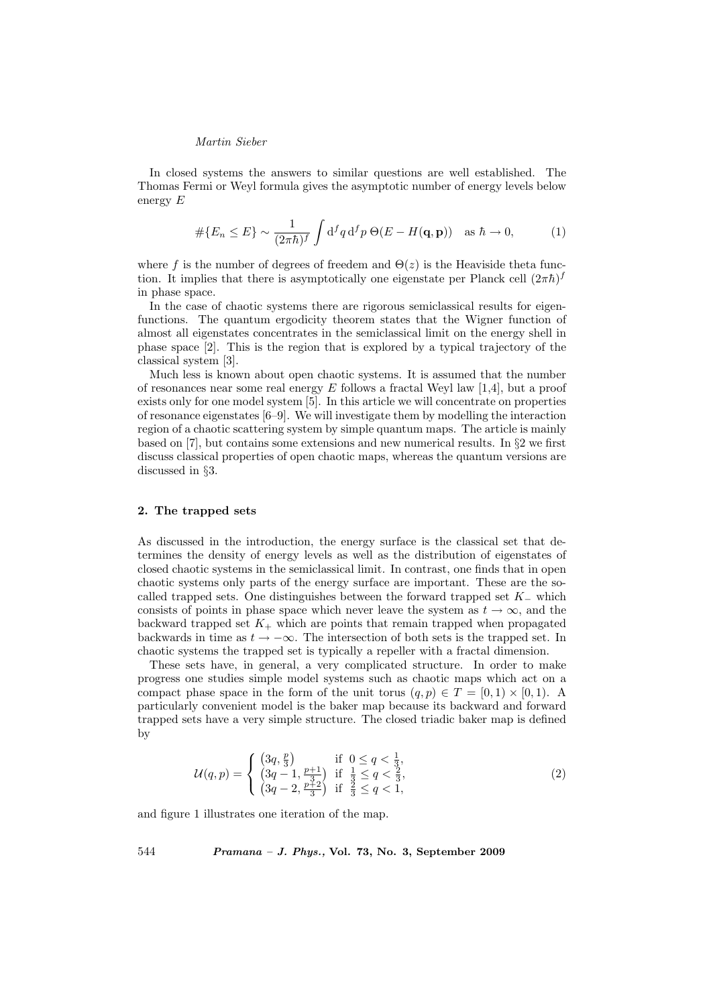In closed systems the answers to similar questions are well established. The Thomas Fermi or Weyl formula gives the asymptotic number of energy levels below energy E

$$
\#\{E_n \le E\} \sim \frac{1}{(2\pi\hbar)^f} \int d^f q \, d^f p \, \Theta(E - H(\mathbf{q}, \mathbf{p})) \quad \text{as } \hbar \to 0,\tag{1}
$$

where f is the number of degrees of freedem and  $\Theta(z)$  is the Heaviside theta function. It implies that there is asymptotically one eigenstate per Planck cell  $(2\pi\hbar)^f$ in phase space.

In the case of chaotic systems there are rigorous semiclassical results for eigenfunctions. The quantum ergodicity theorem states that the Wigner function of almost all eigenstates concentrates in the semiclassical limit on the energy shell in phase space [2]. This is the region that is explored by a typical trajectory of the classical system [3].

Much less is known about open chaotic systems. It is assumed that the number of resonances near some real energy  $E$  follows a fractal Weyl law [1,4], but a proof exists only for one model system [5]. In this article we will concentrate on properties of resonance eigenstates [6–9]. We will investigate them by modelling the interaction region of a chaotic scattering system by simple quantum maps. The article is mainly based on [7], but contains some extensions and new numerical results. In §2 we first discuss classical properties of open chaotic maps, whereas the quantum versions are discussed in §3.

### 2. The trapped sets

As discussed in the introduction, the energy surface is the classical set that determines the density of energy levels as well as the distribution of eigenstates of closed chaotic systems in the semiclassical limit. In contrast, one finds that in open chaotic systems only parts of the energy surface are important. These are the socalled trapped sets. One distinguishes between the forward trapped set  $K_-\,$  which consists of points in phase space which never leave the system as  $t \to \infty$ , and the backward trapped set  $K_{+}$  which are points that remain trapped when propagated backwards in time as  $t \to -\infty$ . The intersection of both sets is the trapped set. In chaotic systems the trapped set is typically a repeller with a fractal dimension.

These sets have, in general, a very complicated structure. In order to make progress one studies simple model systems such as chaotic maps which act on a compact phase space in the form of the unit torus  $(q, p) \in T = [0, 1) \times [0, 1)$ . A particularly convenient model is the baker map because its backward and forward trapped sets have a very simple structure. The closed triadic baker map is defined by

$$
\mathcal{U}(q,p) = \begin{cases} \left(3q, \frac{p}{3}\right) & \text{if } 0 \le q < \frac{1}{3},\\ \left(3q - 1, \frac{p+1}{3}\right) & \text{if } \frac{1}{3} \le q < \frac{2}{3},\\ \left(3q - 2, \frac{p+2}{3}\right) & \text{if } \frac{2}{3} \le q < 1, \end{cases}
$$
 (2)

and figure 1 illustrates one iteration of the map.

544 Pramana – J. Phys., Vol. 73, No. 3, September 2009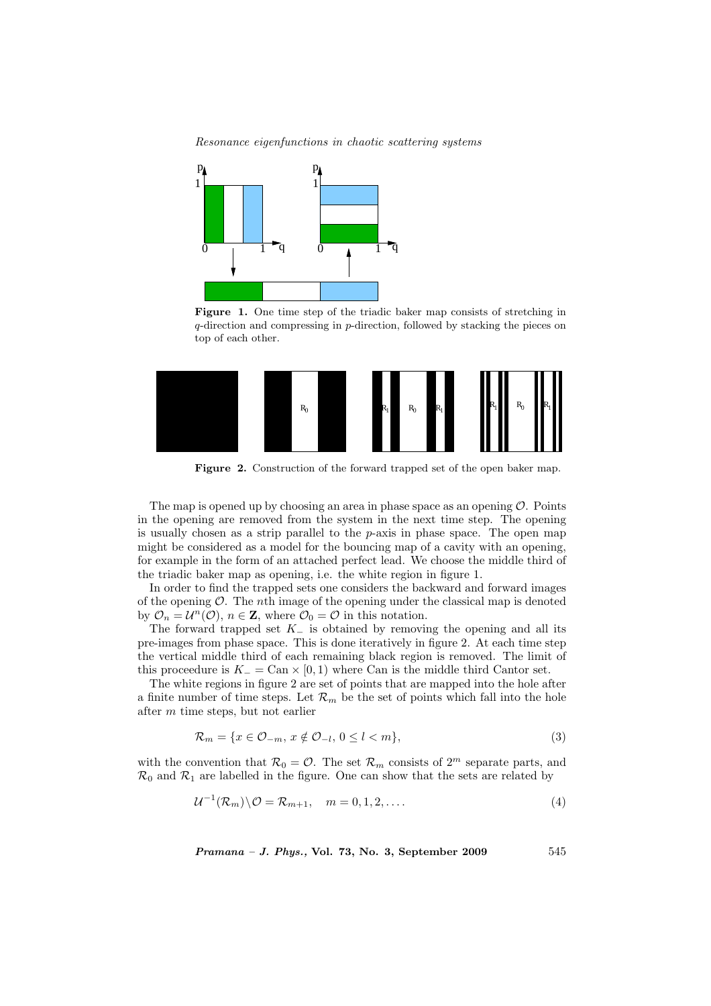Resonance eigenfunctions in chaotic scattering systems



Figure 1. One time step of the triadic baker map consists of stretching in q-direction and compressing in p-direction, followed by stacking the pieces on top of each other.



Figure 2. Construction of the forward trapped set of the open baker map.

The map is opened up by choosing an area in phase space as an opening  $\mathcal{O}$ . Points in the opening are removed from the system in the next time step. The opening is usually chosen as a strip parallel to the  $p$ -axis in phase space. The open map might be considered as a model for the bouncing map of a cavity with an opening, for example in the form of an attached perfect lead. We choose the middle third of the triadic baker map as opening, i.e. the white region in figure 1.

In order to find the trapped sets one considers the backward and forward images of the opening  $\mathcal O$ . The *n*th image of the opening under the classical map is denoted by  $\mathcal{O}_n = \mathcal{U}^n(\mathcal{O}), n \in \mathbb{Z}$ , where  $\mathcal{O}_0 = \mathcal{O}$  in this notation.

The forward trapped set  $K_-\$  is obtained by removing the opening and all its pre-images from phase space. This is done iteratively in figure 2. At each time step the vertical middle third of each remaining black region is removed. The limit of this proceedure is  $K_-=\text{Can}\times[0,1)$  where Can is the middle third Cantor set.

The white regions in figure 2 are set of points that are mapped into the hole after a finite number of time steps. Let  $\mathcal{R}_m$  be the set of points which fall into the hole after m time steps, but not earlier

$$
\mathcal{R}_m = \{ x \in \mathcal{O}_{-m}, \, x \notin \mathcal{O}_{-l}, \, 0 \le l < m \},\tag{3}
$$

with the convention that  $\mathcal{R}_0 = \mathcal{O}$ . The set  $\mathcal{R}_m$  consists of  $2^m$  separate parts, and  $\mathcal{R}_0$  and  $\mathcal{R}_1$  are labelled in the figure. One can show that the sets are related by

$$
\mathcal{U}^{-1}(\mathcal{R}_m)\backslash \mathcal{O} = \mathcal{R}_{m+1}, \quad m = 0, 1, 2, \dots \tag{4}
$$

 $Pramana - J. Phys., Vol. 73, No. 3, September 2009$  545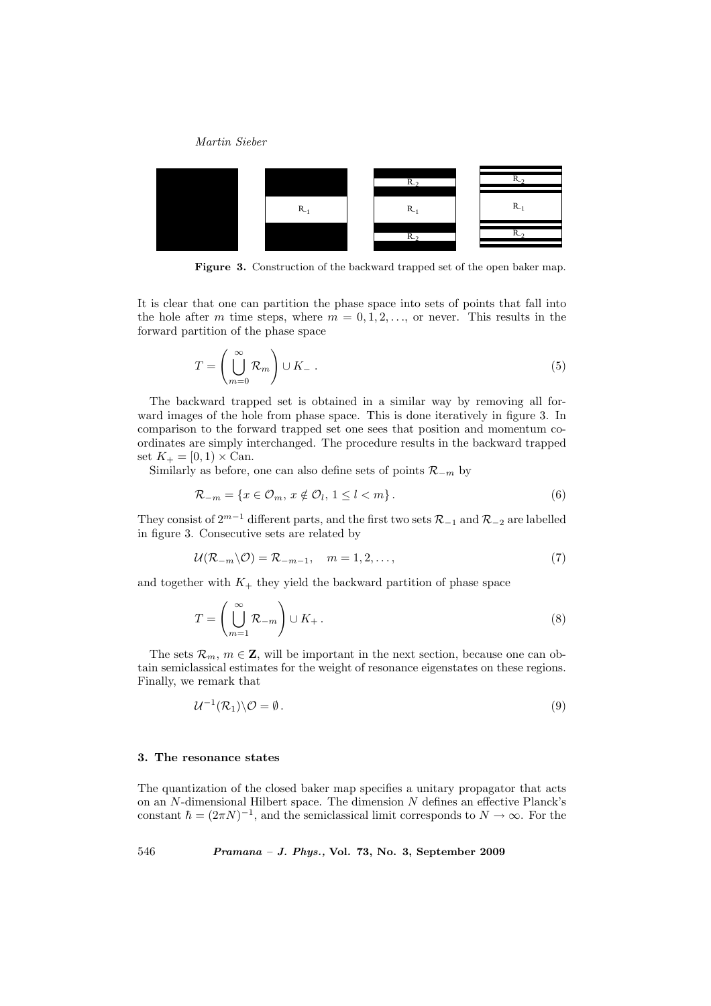

Figure 3. Construction of the backward trapped set of the open baker map.

It is clear that one can partition the phase space into sets of points that fall into the hole after m time steps, where  $m = 0, 1, 2, \ldots$ , or never. This results in the forward partition of the phase space

$$
T = \left(\bigcup_{m=0}^{\infty} \mathcal{R}_m\right) \cup K_- \tag{5}
$$

The backward trapped set is obtained in a similar way by removing all forward images of the hole from phase space. This is done iteratively in figure 3. In comparison to the forward trapped set one sees that position and momentum coordinates are simply interchanged. The procedure results in the backward trapped set  $K_{+} = [0, 1) \times \text{Can}.$ 

Similarly as before, one can also define sets of points  $\mathcal{R}_{-m}$  by

$$
\mathcal{R}_{-m} = \{x \in \mathcal{O}_m, x \notin \mathcal{O}_l, 1 \le l < m\}.
$$
\n<sup>(6)</sup>

They consist of  $2^{m-1}$  different parts, and the first two sets  $\mathcal{R}_{-1}$  and  $\mathcal{R}_{-2}$  are labelled in figure 3. Consecutive sets are related by

$$
\mathcal{U}(\mathcal{R}_{-m}\backslash\mathcal{O})=\mathcal{R}_{-m-1},\quad m=1,2,\ldots,\tag{7}
$$

and together with  $K_{+}$  they yield the backward partition of phase space

$$
T = \left(\bigcup_{m=1}^{\infty} \mathcal{R}_{-m}\right) \cup K_+ \,. \tag{8}
$$

The sets  $\mathcal{R}_m$ ,  $m \in \mathbb{Z}$ , will be important in the next section, because one can obtain semiclassical estimates for the weight of resonance eigenstates on these regions. Finally, we remark that

$$
\mathcal{U}^{-1}(\mathcal{R}_1)\backslash\mathcal{O}=\emptyset.
$$
\n
$$
(9)
$$

### 3. The resonance states

The quantization of the closed baker map specifies a unitary propagator that acts on an N-dimensional Hilbert space. The dimension N defines an effective Planck's constant  $\hbar = (2\pi N)^{-1}$ , and the semiclassical limit corresponds to  $N \to \infty$ . For the

546 Pramana – J. Phys., Vol. 73, No. 3, September 2009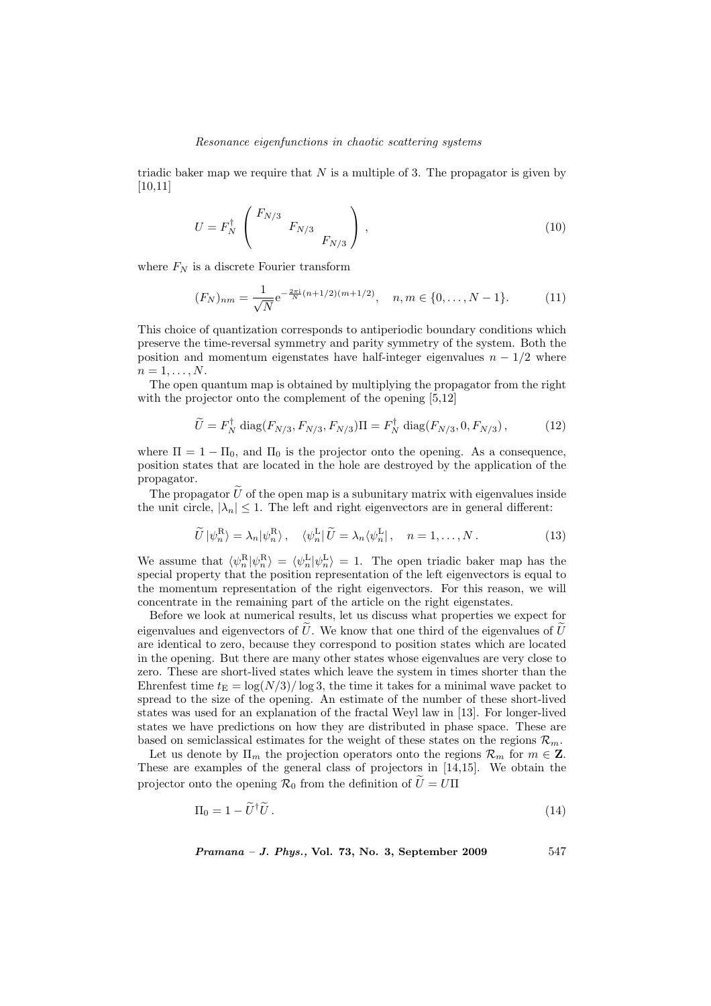#### Resonance eigenfunctions in chaotic scattering systems

triadic baker map we require that  $N$  is a multiple of 3. The propagator is given by [10,11]

$$
U = F_N^{\dagger} \begin{pmatrix} F_{N/3} & & \\ & F_{N/3} & \\ & & F_{N/3} \end{pmatrix},
$$
 (10)

where  $F_N$  is a discrete Fourier transform

$$
(F_N)_{nm} = \frac{1}{\sqrt{N}} e^{-\frac{2\pi i}{N}(n+1/2)(m+1/2)}, \quad n, m \in \{0, \dots, N-1\}.
$$
 (11)

This choice of quantization corresponds to antiperiodic boundary conditions which preserve the time-reversal symmetry and parity symmetry of the system. Both the position and momentum eigenstates have half-integer eigenvalues  $n - 1/2$  where  $n=1,\ldots,N$ .

The open quantum map is obtained by multiplying the propagator from the right with the projector onto the complement of the opening  $[5,12]$ 

$$
\widetilde{U} = F_N^{\dagger} \operatorname{diag}(F_{N/3}, F_{N/3}, F_{N/3}) \Pi = F_N^{\dagger} \operatorname{diag}(F_{N/3}, 0, F_{N/3}), \tag{12}
$$

where  $\Pi = 1 - \Pi_0$ , and  $\Pi_0$  is the projector onto the opening. As a consequence, position states that are located in the hole are destroyed by the application of the propagator.

The propagator  $\tilde{U}$  of the open map is a subunitary matrix with eigenvalues inside the unit circle,  $|\lambda_n| \leq 1$ . The left and right eigenvectors are in general different:

$$
\widetilde{U}|\psi_n^{\mathcal{R}}\rangle = \lambda_n|\psi_n^{\mathcal{R}}\rangle, \quad \langle\psi_n^{\mathcal{L}}|\,\widetilde{U} = \lambda_n\langle\psi_n^{\mathcal{L}}|, \quad n = 1, \dots, N. \tag{13}
$$

We assume that  $\langle \psi_n^R | \psi_n^R \rangle = \langle \psi_n^L | \psi_n^L \rangle = 1$ . The open triadic baker map has the special property that the position representation of the left eigenvectors is equal to the momentum representation of the right eigenvectors. For this reason, we will concentrate in the remaining part of the article on the right eigenstates.

Before we look at numerical results, let us discuss what properties we expect for eigenvalues and eigenvectors of  $U$ . We know that one third of the eigenvalues of  $U$ are identical to zero, because they correspond to position states which are located in the opening. But there are many other states whose eigenvalues are very close to zero. These are short-lived states which leave the system in times shorter than the Ehrenfest time  $t_E = \log(N/3)/\log 3$ , the time it takes for a minimal wave packet to spread to the size of the opening. An estimate of the number of these short-lived states was used for an explanation of the fractal Weyl law in [13]. For longer-lived states we have predictions on how they are distributed in phase space. These are based on semiclassical estimates for the weight of these states on the regions  $\mathcal{R}_m$ .

Let us denote by  $\Pi_m$  the projection operators onto the regions  $\mathcal{R}_m$  for  $m \in \mathbb{Z}$ . These are examples of the general class of projectors in [14,15]. We obtain the projector onto the opening  $\mathcal{R}_0$  from the definition of  $\tilde{U}=U\Pi$ 

$$
\Pi_0 = 1 - \widetilde{U}^\dagger \widetilde{U} \,. \tag{14}
$$

$$
Pramana - J. Phys., Vol. 73, No. 3, September 2009 \qquad 547
$$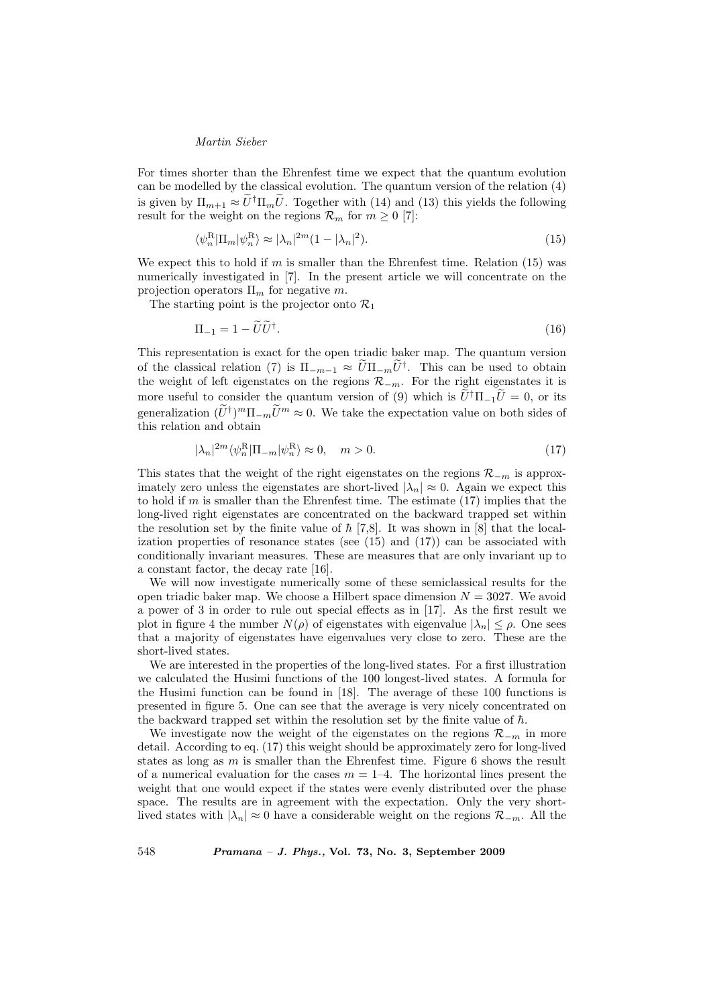For times shorter than the Ehrenfest time we expect that the quantum evolution can be modelled by the classical evolution. The quantum version of the relation (4) is given by  $\Pi_{m+1} \approx \tilde{U}^{\dagger} \Pi_m \tilde{U}$ . Together with (14) and (13) this yields the following result for the weight on the regions  $\mathcal{R}_m$  for  $m > 0$  [7]:

$$
\langle \psi_n^R | \Pi_m | \psi_n^R \rangle \approx |\lambda_n|^{2m} (1 - |\lambda_n|^2). \tag{15}
$$

We expect this to hold if m is smaller than the Ehrenfest time. Relation  $(15)$  was numerically investigated in [7]. In the present article we will concentrate on the projection operators  $\Pi_m$  for negative m.

The starting point is the projector onto  $\mathcal{R}_1$ 

$$
\Pi_{-1} = 1 - \widetilde{U}\widetilde{U}^{\dagger}.\tag{16}
$$

This representation is exact for the open triadic baker map. The quantum version of the classical relation (7) is  $\Pi_{-m-1} \approx \tilde{U} \Pi_{-m} \tilde{U}^{\dagger}$ . This can be used to obtain the weight of left eigenstates on the regions  $\mathcal{R}_{-m}$ . For the right eigenstates it is more useful to consider the quantum version of (9) which is  $\tilde{U}^{\dagger}\Pi_{-1}\tilde{U}=0$ , or its generalization  $(\widetilde{U}^{\dagger})^m \Pi_{-m} \widetilde{U}^m \approx 0$ . We take the expectation value on both sides of this relation and obtain

$$
|\lambda_n|^{2m} \langle \psi_n^R | \Pi_{-m} | \psi_n^R \rangle \approx 0, \quad m > 0. \tag{17}
$$

This states that the weight of the right eigenstates on the regions  $\mathcal{R}_{-m}$  is approximately zero unless the eigenstates are short-lived  $|\lambda_n| \approx 0$ . Again we expect this to hold if  $m$  is smaller than the Ehrenfest time. The estimate  $(17)$  implies that the long-lived right eigenstates are concentrated on the backward trapped set within the resolution set by the finite value of  $\hbar$  [7,8]. It was shown in [8] that the localization properties of resonance states (see  $(15)$  and  $(17)$ ) can be associated with conditionally invariant measures. These are measures that are only invariant up to a constant factor, the decay rate [16].

We will now investigate numerically some of these semiclassical results for the open triadic baker map. We choose a Hilbert space dimension  $N = 3027$ . We avoid a power of 3 in order to rule out special effects as in [17]. As the first result we plot in figure 4 the number  $N(\rho)$  of eigenstates with eigenvalue  $|\lambda_n| \leq \rho$ . One sees that a majority of eigenstates have eigenvalues very close to zero. These are the short-lived states.

We are interested in the properties of the long-lived states. For a first illustration we calculated the Husimi functions of the 100 longest-lived states. A formula for the Husimi function can be found in [18]. The average of these 100 functions is presented in figure 5. One can see that the average is very nicely concentrated on the backward trapped set within the resolution set by the finite value of  $\hbar$ .

We investigate now the weight of the eigenstates on the regions  $\mathcal{R}_{-m}$  in more detail. According to eq. (17) this weight should be approximately zero for long-lived states as long as  $m$  is smaller than the Ehrenfest time. Figure 6 shows the result of a numerical evaluation for the cases  $m = 1-4$ . The horizontal lines present the weight that one would expect if the states were evenly distributed over the phase space. The results are in agreement with the expectation. Only the very shortlived states with  $|\lambda_n| \approx 0$  have a considerable weight on the regions  $\mathcal{R}_{-m}$ . All the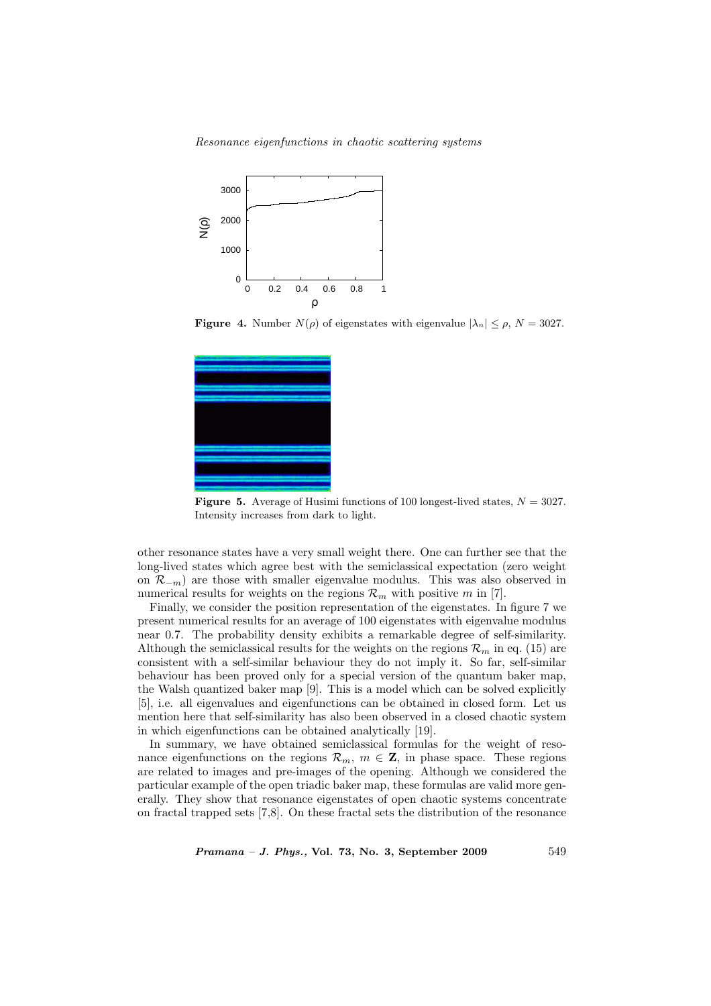Resonance eigenfunctions in chaotic scattering systems



**Figure 4.** Number  $N(\rho)$  of eigenstates with eigenvalue  $|\lambda_n| \leq \rho$ ,  $N = 3027$ .



**Figure 5.** Average of Husimi functions of 100 longest-lived states,  $N = 3027$ . Intensity increases from dark to light.

other resonance states have a very small weight there. One can further see that the long-lived states which agree best with the semiclassical expectation (zero weight on  $\mathcal{R}_{-m}$ ) are those with smaller eigenvalue modulus. This was also observed in numerical results for weights on the regions  $\mathcal{R}_m$  with positive m in [7].

Finally, we consider the position representation of the eigenstates. In figure 7 we present numerical results for an average of 100 eigenstates with eigenvalue modulus near 0.7. The probability density exhibits a remarkable degree of self-similarity. Although the semiclassical results for the weights on the regions  $\mathcal{R}_m$  in eq. (15) are consistent with a self-similar behaviour they do not imply it. So far, self-similar behaviour has been proved only for a special version of the quantum baker map, the Walsh quantized baker map [9]. This is a model which can be solved explicitly [5], i.e. all eigenvalues and eigenfunctions can be obtained in closed form. Let us mention here that self-similarity has also been observed in a closed chaotic system in which eigenfunctions can be obtained analytically [19].

In summary, we have obtained semiclassical formulas for the weight of resonance eigenfunctions on the regions  $\mathcal{R}_m$ ,  $m \in \mathbb{Z}$ , in phase space. These regions are related to images and pre-images of the opening. Although we considered the particular example of the open triadic baker map, these formulas are valid more generally. They show that resonance eigenstates of open chaotic systems concentrate on fractal trapped sets [7,8]. On these fractal sets the distribution of the resonance

 $Pramana - J. Phys., Vol. 73, No. 3, September 2009$  549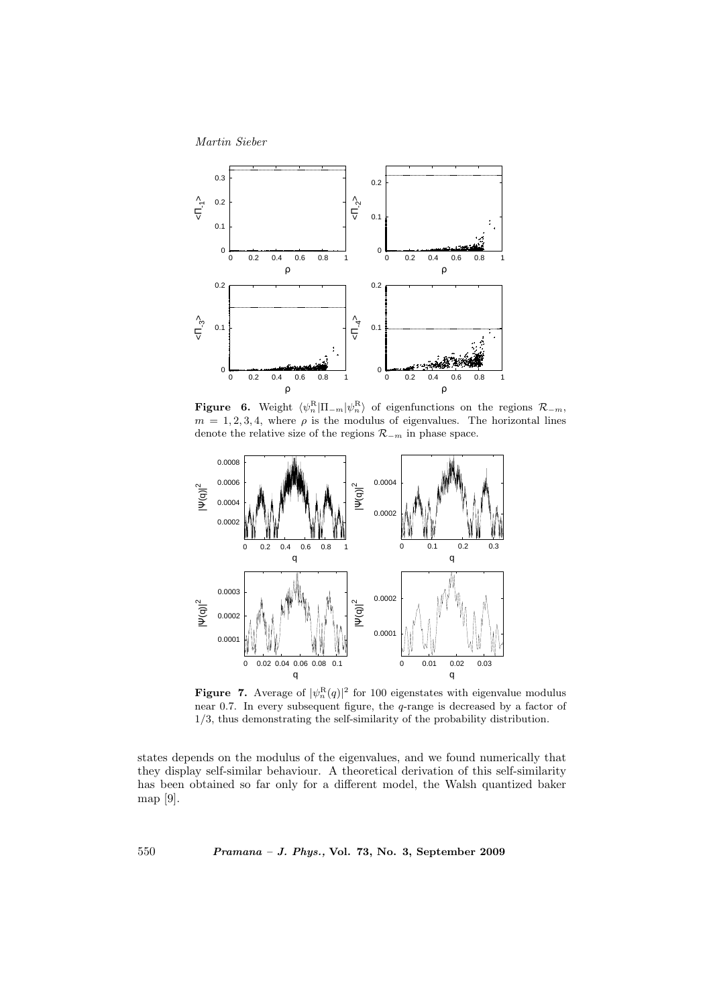

**Figure** 6. Weight  $\langle \psi_n^{\text{R}} | \Pi_{-m} | \psi_n^{\text{R}} \rangle$  of eigenfunctions on the regions  $\mathcal{R}_{-m}$ ,  $m = 1, 2, 3, 4$ , where  $\rho$  is the modulus of eigenvalues. The horizontal lines denote the relative size of the regions  $\mathcal{R}_{-m}$  in phase space.



**Figure 7.** Average of  $|\psi_n^{\text{R}}(q)|^2$  for 100 eigenstates with eigenvalue modulus near 0.7. In every subsequent figure, the q-range is decreased by a factor of 1/3, thus demonstrating the self-similarity of the probability distribution.

states depends on the modulus of the eigenvalues, and we found numerically that they display self-similar behaviour. A theoretical derivation of this self-similarity has been obtained so far only for a different model, the Walsh quantized baker map [9].

550 Pramana – J. Phys., Vol. 73, No. 3, September 2009